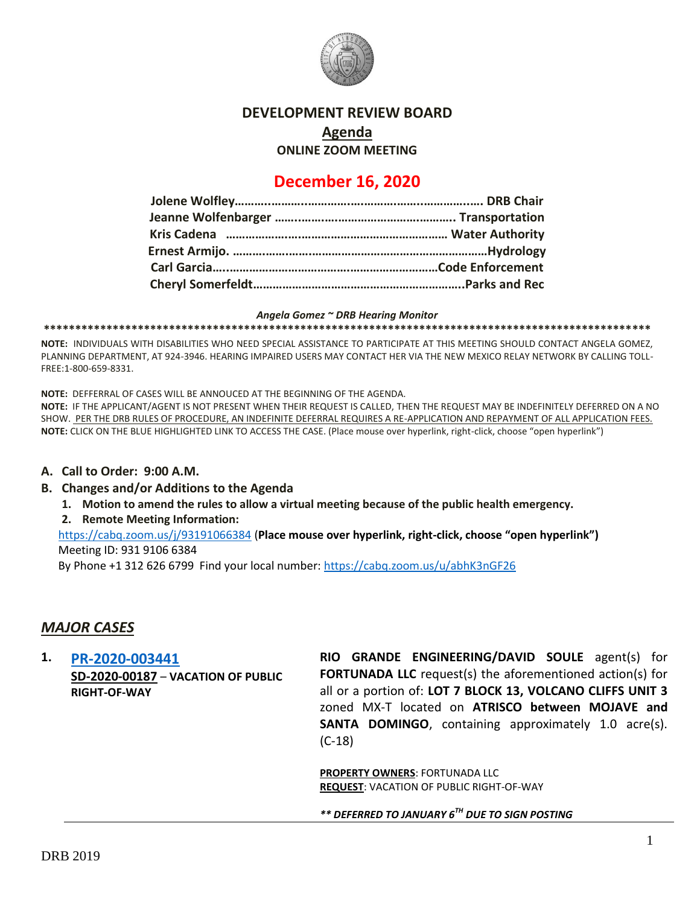

## **DEVELOPMENT REVIEW BOARD**

**Agenda**

**ONLINE ZOOM MEETING**

# **December 16, 2020**

#### *Angela Gomez ~ DRB Hearing Monitor*

**\*\*\*\*\*\*\*\*\*\*\*\*\*\*\*\*\*\*\*\*\*\*\*\*\*\*\*\*\*\*\*\*\*\*\*\*\*\*\*\*\*\*\*\*\*\*\*\*\*\*\*\*\*\*\*\*\*\*\*\*\*\*\*\*\*\*\*\*\*\*\*\*\*\*\*\*\*\*\*\*\*\*\*\*\*\*\*\*\*\*\*\*\*\*\*\*\***

**NOTE:** INDIVIDUALS WITH DISABILITIES WHO NEED SPECIAL ASSISTANCE TO PARTICIPATE AT THIS MEETING SHOULD CONTACT ANGELA GOMEZ, PLANNING DEPARTMENT, AT 924-3946. HEARING IMPAIRED USERS MAY CONTACT HER VIA THE NEW MEXICO RELAY NETWORK BY CALLING TOLL-FREE:1-800-659-8331.

**NOTE:** DEFFERRAL OF CASES WILL BE ANNOUCED AT THE BEGINNING OF THE AGENDA.

**NOTE:** IF THE APPLICANT/AGENT IS NOT PRESENT WHEN THEIR REQUEST IS CALLED, THEN THE REQUEST MAY BE INDEFINITELY DEFERRED ON A NO SHOW. PER THE DRB RULES OF PROCEDURE, AN INDEFINITE DEFERRAL REQUIRES A RE-APPLICATION AND REPAYMENT OF ALL APPLICATION FEES. **NOTE:** CLICK ON THE BLUE HIGHLIGHTED LINK TO ACCESS THE CASE. (Place mouse over hyperlink, right-click, choose "open hyperlink")

### **A. Call to Order: 9:00 A.M.**

### **B. Changes and/or Additions to the Agenda**

**1. Motion to amend the rules to allow a virtual meeting because of the public health emergency.**

### **2. Remote Meeting Information:**

<https://cabq.zoom.us/j/93191066384> (**Place mouse over hyperlink, right-click, choose "open hyperlink")** Meeting ID: 931 9106 6384

By Phone +1 312 626 6799 Find your local number:<https://cabq.zoom.us/u/abhK3nGF26>

# *MAJOR CASES*

**1. [PR-2020-003441](http://data.cabq.gov/government/planning/DRB/PR-2020-003441/DRB%20Submittals/PR-2020-003441_Dec_16_2020/PR-2020-003441_Jan_6_2020.pdf)**

**SD-2020-00187** – **VACATION OF PUBLIC RIGHT-OF-WAY**

**RIO GRANDE ENGINEERING/DAVID SOULE** agent(s) for **FORTUNADA LLC** request(s) the aforementioned action(s) for all or a portion of: **LOT 7 BLOCK 13, VOLCANO CLIFFS UNIT 3**  zoned MX-T located on **ATRISCO between MOJAVE and SANTA DOMINGO**, containing approximately 1.0 acre(s). (C-18)

**PROPERTY OWNERS**: FORTUNADA LLC **REQUEST**: VACATION OF PUBLIC RIGHT-OF-WAY

*\*\* DEFERRED TO JANUARY 6TH DUE TO SIGN POSTING*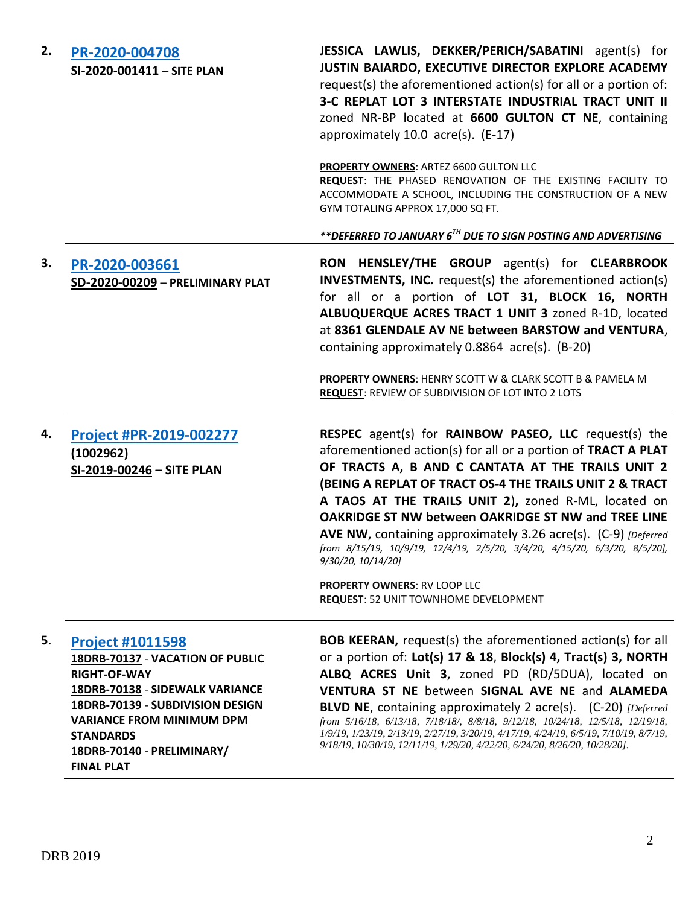| 2. | PR-2020-004708<br>SI-2020-001411 - SITE PLAN                                                                                                                                                                                                                         | JESSICA LAWLIS, DEKKER/PERICH/SABATINI agent(s) for<br>JUSTIN BAIARDO, EXECUTIVE DIRECTOR EXPLORE ACADEMY<br>request(s) the aforementioned action(s) for all or a portion of:<br>3-C REPLAT LOT 3 INTERSTATE INDUSTRIAL TRACT UNIT II<br>zoned NR-BP located at 6600 GULTON CT NE, containing<br>approximately 10.0 acre(s). (E-17)                                                                                                                                                                                                                                      |
|----|----------------------------------------------------------------------------------------------------------------------------------------------------------------------------------------------------------------------------------------------------------------------|--------------------------------------------------------------------------------------------------------------------------------------------------------------------------------------------------------------------------------------------------------------------------------------------------------------------------------------------------------------------------------------------------------------------------------------------------------------------------------------------------------------------------------------------------------------------------|
|    |                                                                                                                                                                                                                                                                      | <b>PROPERTY OWNERS: ARTEZ 6600 GULTON LLC</b><br>REQUEST: THE PHASED RENOVATION OF THE EXISTING FACILITY TO<br>ACCOMMODATE A SCHOOL, INCLUDING THE CONSTRUCTION OF A NEW<br>GYM TOTALING APPROX 17,000 SQ FT.                                                                                                                                                                                                                                                                                                                                                            |
|    |                                                                                                                                                                                                                                                                      | **DEFERRED TO JANUARY 6 <sup>TH</sup> DUE TO SIGN POSTING AND ADVERTISING                                                                                                                                                                                                                                                                                                                                                                                                                                                                                                |
| 3. | PR-2020-003661<br>SD-2020-00209 - PRELIMINARY PLAT                                                                                                                                                                                                                   | RON HENSLEY/THE GROUP agent(s) for CLEARBROOK<br><b>INVESTMENTS, INC.</b> request(s) the aforementioned action(s)<br>for all or a portion of LOT 31, BLOCK 16, NORTH<br>ALBUQUERQUE ACRES TRACT 1 UNIT 3 zoned R-1D, located<br>at 8361 GLENDALE AV NE between BARSTOW and VENTURA,<br>containing approximately 0.8864 acre(s). (B-20)                                                                                                                                                                                                                                   |
|    |                                                                                                                                                                                                                                                                      | PROPERTY OWNERS: HENRY SCOTT W & CLARK SCOTT B & PAMELA M<br><b>REQUEST: REVIEW OF SUBDIVISION OF LOT INTO 2 LOTS</b>                                                                                                                                                                                                                                                                                                                                                                                                                                                    |
| 4. | Project #PR-2019-002277<br>(1002962)<br>SI-2019-00246 - SITE PLAN                                                                                                                                                                                                    | RESPEC agent(s) for RAINBOW PASEO, LLC request(s) the<br>aforementioned action(s) for all or a portion of TRACT A PLAT<br>OF TRACTS A, B AND C CANTATA AT THE TRAILS UNIT 2<br>(BEING A REPLAT OF TRACT OS-4 THE TRAILS UNIT 2 & TRACT<br>A TAOS AT THE TRAILS UNIT 2), zoned R-ML, located on<br><b>OAKRIDGE ST NW between OAKRIDGE ST NW and TREE LINE</b><br>AVE NW, containing approximately 3.26 acre(s). (C-9) [Deferred]<br>from 8/15/19, 10/9/19, 12/4/19, 2/5/20, 3/4/20, 4/15/20, 6/3/20, 8/5/20],<br>9/30/20, 10/14/20]                                       |
|    |                                                                                                                                                                                                                                                                      | <b>PROPERTY OWNERS: RV LOOP LLC</b><br><b>REQUEST: 52 UNIT TOWNHOME DEVELOPMENT</b>                                                                                                                                                                                                                                                                                                                                                                                                                                                                                      |
| 5. | <b>Project #1011598</b><br>18DRB-70137 - VACATION OF PUBLIC<br><b>RIGHT-OF-WAY</b><br>18DRB-70138 - SIDEWALK VARIANCE<br>18DRB-70139 - SUBDIVISION DESIGN<br><b>VARIANCE FROM MINIMUM DPM</b><br><b>STANDARDS</b><br>18DRB-70140 - PRELIMINARY/<br><b>FINAL PLAT</b> | <b>BOB KEERAN, request(s) the aforementioned action(s) for all</b><br>or a portion of: Lot(s) 17 & 18, Block(s) 4, Tract(s) 3, NORTH<br>ALBQ ACRES Unit 3, zoned PD (RD/5DUA), located on<br>VENTURA ST NE between SIGNAL AVE NE and ALAMEDA<br>BLVD NE, containing approximately 2 acre(s). (C-20) [Deferred<br>from 5/16/18, 6/13/18, 7/18/18/, 8/8/18, 9/12/18, 10/24/18, 12/5/18, 12/19/18,<br>1/9/19, 1/23/19, 2/13/19, 2/27/19, 3/20/19, 4/17/19, 4/24/19, 6/5/19, 7/10/19, 8/7/19,<br>9/18/19, 10/30/19, 12/11/19, 1/29/20, 4/22/20, 6/24/20, 8/26/20, 10/28/20]. |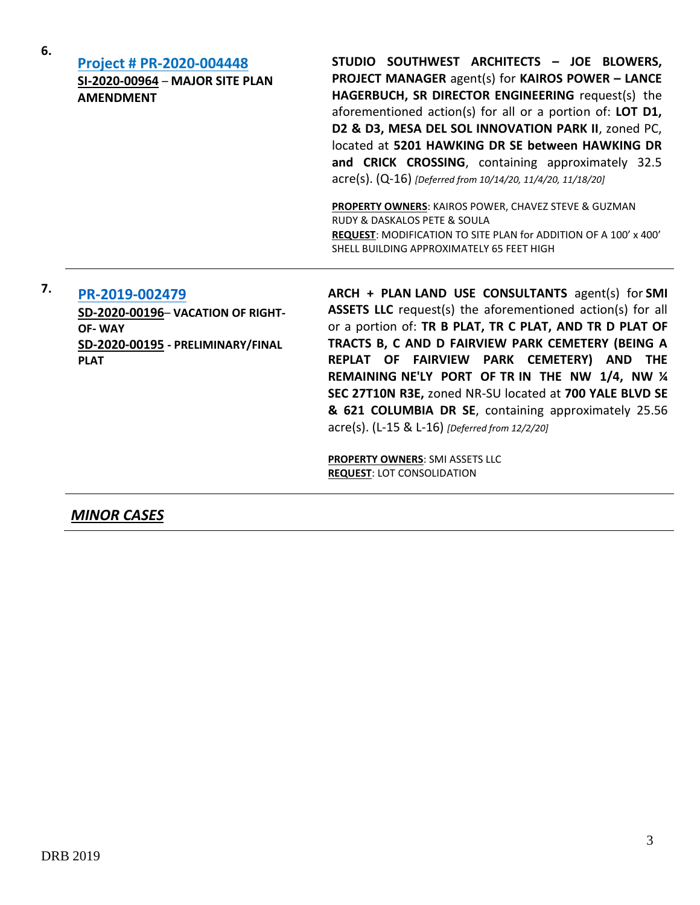| 6. | <b>Project # PR-2020-004448</b><br>SI-2020-00964 - MAJOR SITE PLAN<br><b>AMENDMENT</b>                                   | STUDIO SOUTHWEST ARCHITECTS - JOE BLOWERS,<br><b>PROJECT MANAGER agent(s) for KAIROS POWER - LANCE</b><br>HAGERBUCH, SR DIRECTOR ENGINEERING request(s) the<br>aforementioned action(s) for all or a portion of: LOT D1,<br>D2 & D3, MESA DEL SOL INNOVATION PARK II, zoned PC,<br>located at 5201 HAWKING DR SE between HAWKING DR<br>and CRICK CROSSING, containing approximately 32.5<br>acre(s). (Q-16) [Deferred from 10/14/20, 11/4/20, 11/18/20]<br>PROPERTY OWNERS: KAIROS POWER, CHAVEZ STEVE & GUZMAN<br>RUDY & DASKALOS PETE & SOULA<br>REQUEST: MODIFICATION TO SITE PLAN for ADDITION OF A 100' x 400'<br>SHELL BUILDING APPROXIMATELY 65 FEET HIGH |
|----|--------------------------------------------------------------------------------------------------------------------------|------------------------------------------------------------------------------------------------------------------------------------------------------------------------------------------------------------------------------------------------------------------------------------------------------------------------------------------------------------------------------------------------------------------------------------------------------------------------------------------------------------------------------------------------------------------------------------------------------------------------------------------------------------------|
| 7. | PR-2019-002479<br>SD-2020-00196- VACATION OF RIGHT-<br><b>OF-WAY</b><br>SD-2020-00195 - PRELIMINARY/FINAL<br><b>PLAT</b> | ARCH + PLAN LAND USE CONSULTANTS agent(s) for SMI<br><b>ASSETS LLC</b> request(s) the aforementioned action(s) for all<br>or a portion of: TR B PLAT, TR C PLAT, AND TR D PLAT OF<br>TRACTS B, C AND D FAIRVIEW PARK CEMETERY (BEING A<br>REPLAT OF FAIRVIEW PARK CEMETERY) AND THE<br>REMAINING NE'LY PORT OF TR IN THE NW 1/4, NW 1/4<br>SEC 27T10N R3E, zoned NR-SU located at 700 YALE BLVD SE<br>& 621 COLUMBIA DR SE, containing approximately 25.56<br>acre(s). (L-15 & L-16) [Deferred from 12/2/20]<br><b>PROPERTY OWNERS: SMI ASSETS LLC</b><br><b>REQUEST: LOT CONSOLIDATION</b>                                                                      |

# *MINOR CASES*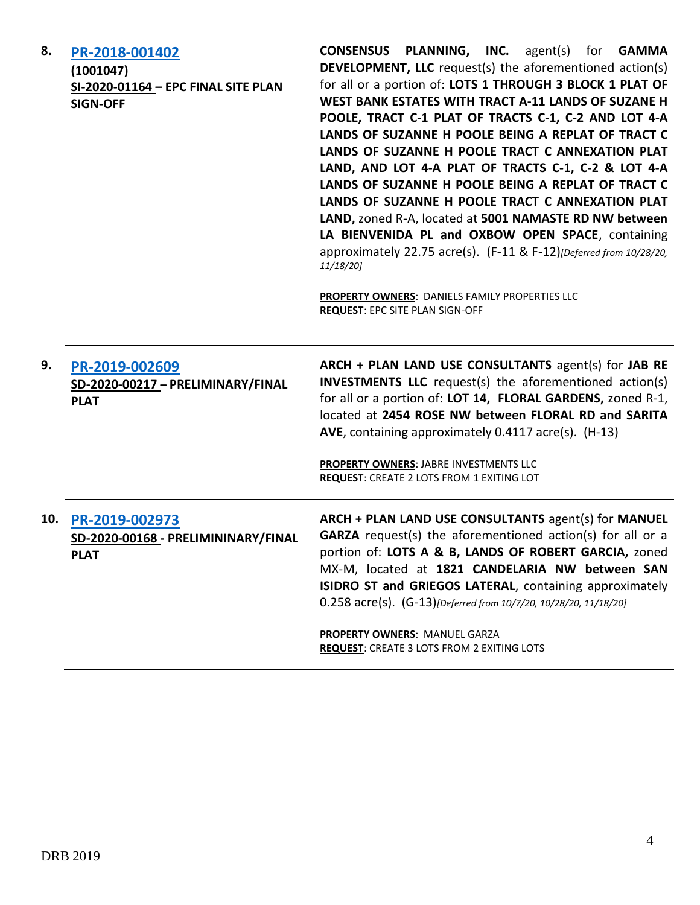| 8.  | PR-2018-001402<br>(1001047)<br>SI-2020-01164 - EPC FINAL SITE PLAN<br><b>SIGN-OFF</b> | <b>CONSENSUS PLANNING, INC.</b> agent(s) for <b>GAMMA</b><br><b>DEVELOPMENT, LLC</b> request(s) the aforementioned action(s)<br>for all or a portion of: LOTS 1 THROUGH 3 BLOCK 1 PLAT OF<br>WEST BANK ESTATES WITH TRACT A-11 LANDS OF SUZANE H<br>POOLE, TRACT C-1 PLAT OF TRACTS C-1, C-2 AND LOT 4-A<br>LANDS OF SUZANNE H POOLE BEING A REPLAT OF TRACT C<br>LANDS OF SUZANNE H POOLE TRACT C ANNEXATION PLAT<br>LAND, AND LOT 4-A PLAT OF TRACTS C-1, C-2 & LOT 4-A<br>LANDS OF SUZANNE H POOLE BEING A REPLAT OF TRACT C<br>LANDS OF SUZANNE H POOLE TRACT C ANNEXATION PLAT<br>LAND, zoned R-A, located at 5001 NAMASTE RD NW between<br>LA BIENVENIDA PL and OXBOW OPEN SPACE, containing<br>approximately 22.75 acre(s). (F-11 & F-12)[Deferred from 10/28/20,<br>11/18/20]<br>PROPERTY OWNERS: DANIELS FAMILY PROPERTIES LLC<br><b>REQUEST: EPC SITE PLAN SIGN-OFF</b> |
|-----|---------------------------------------------------------------------------------------|-----------------------------------------------------------------------------------------------------------------------------------------------------------------------------------------------------------------------------------------------------------------------------------------------------------------------------------------------------------------------------------------------------------------------------------------------------------------------------------------------------------------------------------------------------------------------------------------------------------------------------------------------------------------------------------------------------------------------------------------------------------------------------------------------------------------------------------------------------------------------------------|
| 9.  | PR-2019-002609<br>SD-2020-00217 - PRELIMINARY/FINAL<br><b>PLAT</b>                    | ARCH + PLAN LAND USE CONSULTANTS agent(s) for JAB RE<br><b>INVESTMENTS LLC</b> request(s) the aforementioned action(s)<br>for all or a portion of: LOT 14, FLORAL GARDENS, zoned R-1,<br>located at 2454 ROSE NW between FLORAL RD and SARITA<br>AVE, containing approximately 0.4117 acre(s). (H-13)<br>PROPERTY OWNERS: JABRE INVESTMENTS LLC<br><b>REQUEST: CREATE 2 LOTS FROM 1 EXITING LOT</b>                                                                                                                                                                                                                                                                                                                                                                                                                                                                               |
| 10. | PR-2019-002973<br>SD-2020-00168 - PRELIMININARY/FINAL<br><b>PLAT</b>                  | ARCH + PLAN LAND USE CONSULTANTS agent(s) for MANUEL<br><b>GARZA</b> request(s) the aforementioned action(s) for all or a<br>portion of: LOTS A & B, LANDS OF ROBERT GARCIA, zoned<br>MX-M, located at 1821 CANDELARIA NW between SAN<br>ISIDRO ST and GRIEGOS LATERAL, containing approximately<br>0.258 acre(s). (G-13)[Deferred from 10/7/20, 10/28/20, 11/18/20]<br>PROPERTY OWNERS: MANUEL GARZA<br><b>REQUEST:</b> CREATE 3 LOTS FROM 2 EXITING LOTS                                                                                                                                                                                                                                                                                                                                                                                                                        |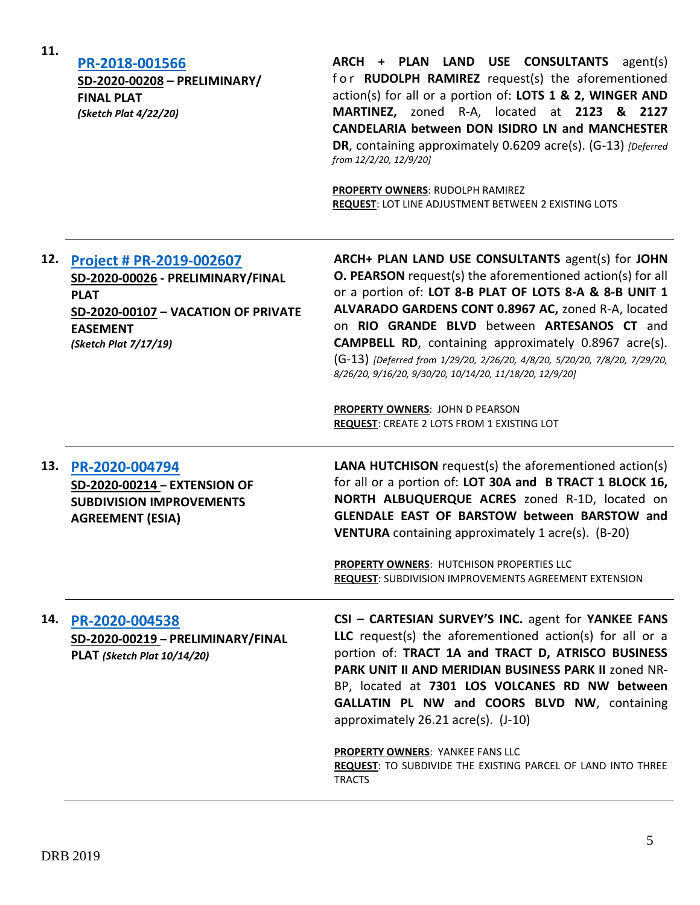**11.**

## **[PR-2018-001566](http://data.cabq.gov/government/planning/DRB/PR-2018-001566/DRB%20Submittals/)**

**SD-2020-00208 – PRELIMINARY/ FINAL PLAT** *(Sketch Plat 4/22/20)*

**ARCH + PLAN LAND USE CONSULTANTS** agent(s) for **RUDOLPH RAMIREZ** request(s) the aforementioned action(s) for all or a portion of: **LOTS 1 & 2, WINGER AND MARTINEZ,** zoned R-A, located at **2123 & 2127 CANDELARIA between DON ISIDRO LN and MANCHESTER DR**, containing approximately 0.6209 acre(s). (G-13) *[Deferred from 12/2/20, 12/9/20]*

**PROPERTY OWNERS**: RUDOLPH RAMIREZ **REQUEST**: LOT LINE ADJUSTMENT BETWEEN 2 EXISTING LOTS

# **12. [Project # PR-2019-002607](http://data.cabq.gov/government/planning/DRB/PR-2019-002607/DRB%20Submittals/) SD-2020-00026 - PRELIMINARY/FINAL PLAT SD-2020-00107 – VACATION OF PRIVATE EASEMENT** *(Sketch Plat 7/17/19)*

**ARCH+ PLAN LAND USE CONSULTANTS** agent(s) for **JOHN O. PEARSON** request(s) the aforementioned action(s) for all or a portion of: **LOT 8-B PLAT OF LOTS 8-A & 8-B UNIT 1 ALVARADO GARDENS CONT 0.8967 AC,** zoned R-A, located on **RIO GRANDE BLVD** between **ARTESANOS CT** and **CAMPBELL RD**, containing approximately 0.8967 acre(s). (G-13) *[Deferred from 1/29/20, 2/26/20, 4/8/20, 5/20/20, 7/8/20, 7/29/20, 8/26/20, 9/16/20, 9/30/20, 10/14/20, 11/18/20, 12/9/20]*

**PROPERTY OWNERS**: JOHN D PEARSON **REQUEST**: CREATE 2 LOTS FROM 1 EXISTING LOT

**13. [PR-2020-004794](http://data.cabq.gov/government/planning/DRB/PR-2020-004794/DRB%20Submittals/PR-2020-004794_Dec_16_2020/Application/) SD-2020-00214 – EXTENSION OF SUBDIVISION IMPROVEMENTS AGREEMENT (ESIA)**

**LANA HUTCHISON** request(s) the aforementioned action(s) for all or a portion of: **LOT 30A and B TRACT 1 BLOCK 16, NORTH ALBUQUERQUE ACRES** zoned R-1D, located on **GLENDALE EAST OF BARSTOW between BARSTOW and VENTURA** containing approximately 1 acre(s). (B-20)

**PROPERTY OWNERS**: HUTCHISON PROPERTIES LLC **REQUEST**: SUBDIVISION IMPROVEMENTS AGREEMENT EXTENSION

### **14. [PR-2020-004538](http://data.cabq.gov/government/planning/DRB/PR-2020-004538/DRB%20Submittals/PR-2020-004538_Dec_16_2020/Application/DRB%20P&F%20Cartesian%20PR-2020-004538%20SD-2020-00219%20signed%20copy.pdf)**

**SD-2020-00219 – PRELIMINARY/FINAL PLAT** *(Sketch Plat 10/14/20)*

**CSI – CARTESIAN SURVEY'S INC.** agent for **YANKEE FANS LLC** request(s) the aforementioned action(s) for all or a portion of: **TRACT 1A and TRACT D, ATRISCO BUSINESS PARK UNIT II AND MERIDIAN BUSINESS PARK II** zoned NR-BP, located at **7301 LOS VOLCANES RD NW between GALLATIN PL NW and COORS BLVD NW**, containing approximately 26.21 acre(s). (J-10)

#### **PROPERTY OWNERS**: YANKEE FANS LLC

**REQUEST**: TO SUBDIVIDE THE EXISTING PARCEL OF LAND INTO THREE **TRACTS**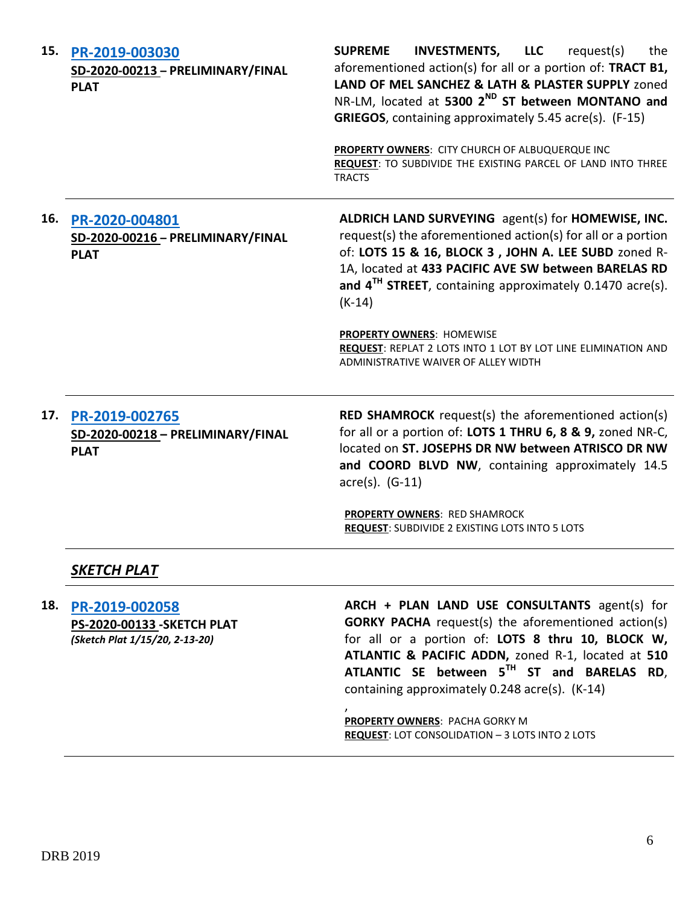| 15. | PR-2019-003030<br>SD-2020-00213 - PRELIMINARY/FINAL<br><b>PLAT</b>              | <b>INVESTMENTS,</b><br><b>SUPREME</b><br><b>LLC</b><br>request(s)<br>the<br>aforementioned action(s) for all or a portion of: TRACT B1,<br>LAND OF MEL SANCHEZ & LATH & PLASTER SUPPLY zoned<br>NR-LM, located at 5300 2 <sup>ND</sup> ST between MONTANO and<br>GRIEGOS, containing approximately 5.45 acre(s). (F-15)<br>PROPERTY OWNERS: CITY CHURCH OF ALBUQUERQUE INC<br>REQUEST: TO SUBDIVIDE THE EXISTING PARCEL OF LAND INTO THREE<br><b>TRACTS</b>         |
|-----|---------------------------------------------------------------------------------|---------------------------------------------------------------------------------------------------------------------------------------------------------------------------------------------------------------------------------------------------------------------------------------------------------------------------------------------------------------------------------------------------------------------------------------------------------------------|
| 16. | PR-2020-004801<br>SD-2020-00216 - PRELIMINARY/FINAL<br><b>PLAT</b>              | ALDRICH LAND SURVEYING agent(s) for HOMEWISE, INC.<br>request(s) the aforementioned action(s) for all or a portion<br>of: LOTS 15 & 16, BLOCK 3, JOHN A. LEE SUBD zoned R-<br>1A, located at 433 PACIFIC AVE SW between BARELAS RD<br>and 4 <sup>TH</sup> STREET, containing approximately 0.1470 acre(s).<br>$(K-14)$<br><b>PROPERTY OWNERS: HOMEWISE</b><br>REQUEST: REPLAT 2 LOTS INTO 1 LOT BY LOT LINE ELIMINATION AND<br>ADMINISTRATIVE WAIVER OF ALLEY WIDTH |
|     | 17. PR-2019-002765<br>SD-2020-00218 - PRELIMINARY/FINAL<br><b>PLAT</b>          | <b>RED SHAMROCK</b> request(s) the aforementioned action(s)<br>for all or a portion of: LOTS 1 THRU 6, 8 & 9, zoned NR-C,<br>located on ST. JOSEPHS DR NW between ATRISCO DR NW<br>and COORD BLVD NW, containing approximately 14.5<br>acre(s). (G-11)<br>PROPERTY OWNERS: RED SHAMROCK<br>REQUEST: SUBDIVIDE 2 EXISTING LOTS INTO 5 LOTS                                                                                                                           |
|     | SKETCH PLAT                                                                     |                                                                                                                                                                                                                                                                                                                                                                                                                                                                     |
| 18. | PR-2019-002058<br>PS-2020-00133 - SKETCH PLAT<br>(Sketch Plat 1/15/20, 2-13-20) | ARCH + PLAN LAND USE CONSULTANTS agent(s) for<br><b>GORKY PACHA</b> request(s) the aforementioned action(s)<br>for all or a portion of: LOTS 8 thru 10, BLOCK W,<br>ATLANTIC & PACIFIC ADDN, zoned R-1, located at 510<br>ATLANTIC SE between 5TH ST and BARELAS RD,<br>containing approximately 0.248 acre(s). (K-14)<br>PROPERTY OWNERS: PACHA GORKY M<br><b>REQUEST: LOT CONSOLIDATION - 3 LOTS INTO 2 LOTS</b>                                                  |